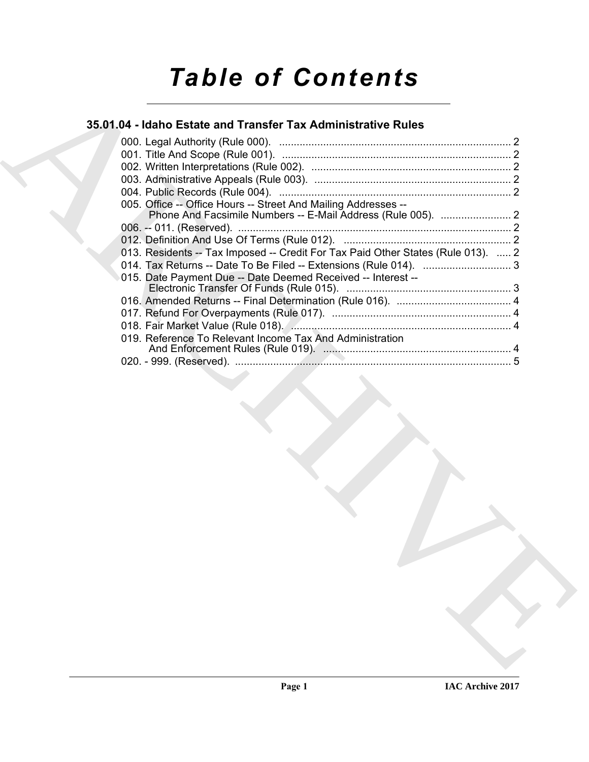# *Table of Contents*

## **35.01.04 - Idaho Estate and Transfer Tax Administrative Rules**

| 005. Office -- Office Hours -- Street And Mailing Addresses --                   |  |
|----------------------------------------------------------------------------------|--|
|                                                                                  |  |
|                                                                                  |  |
| 013. Residents -- Tax Imposed -- Credit For Tax Paid Other States (Rule 013).  2 |  |
|                                                                                  |  |
| 015. Date Payment Due -- Date Deemed Received -- Interest --                     |  |
|                                                                                  |  |
|                                                                                  |  |
|                                                                                  |  |
|                                                                                  |  |
| 019. Reference To Relevant Income Tax And Administration                         |  |
|                                                                                  |  |
|                                                                                  |  |
|                                                                                  |  |
|                                                                                  |  |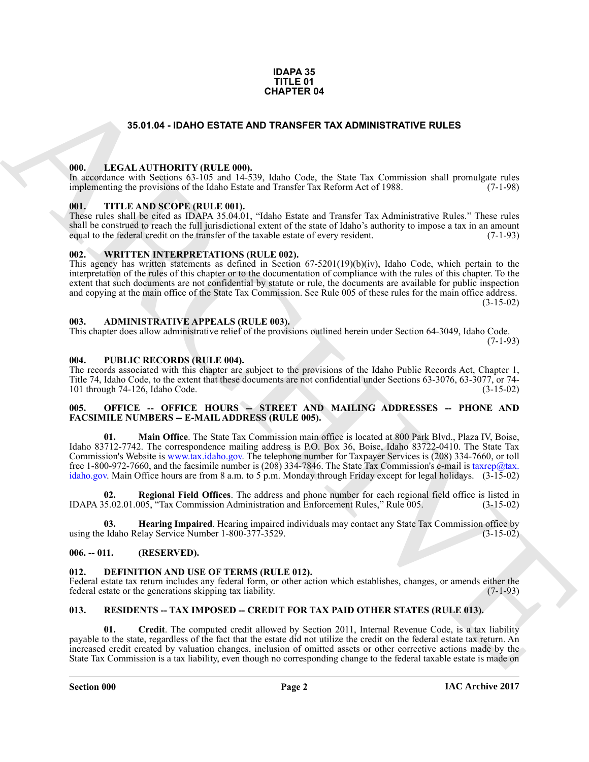#### **IDAPA 35 TITLE 01 CHAPTER 04**

#### **35.01.04 - IDAHO ESTATE AND TRANSFER TAX ADMINISTRATIVE RULES**

#### <span id="page-1-1"></span><span id="page-1-0"></span>**000. LEGAL AUTHORITY (RULE 000).**

In accordance with Sections 63-105 and 14-539, Idaho Code, the State Tax Commission shall promulgate rules implementing the provisions of the Idaho Estate and Transfer Tax Reform Act of 1988. (7-1-98)

#### <span id="page-1-2"></span>**001. TITLE AND SCOPE (RULE 001).**

These rules shall be cited as IDAPA 35.04.01, "Idaho Estate and Transfer Tax Administrative Rules." These rules shall be construed to reach the full jurisdictional extent of the state of Idaho's authority to impose a tax in an amount equal to the federal credit on the transfer of the taxable estate of every resident. (7-1-93)

#### <span id="page-1-3"></span>**002. WRITTEN INTERPRETATIONS (RULE 002).**

This agency has written statements as defined in Section 67-5201(19)(b)(iv), Idaho Code, which pertain to the interpretation of the rules of this chapter or to the documentation of compliance with the rules of this chapter. To the extent that such documents are not confidential by statute or rule, the documents are available for public inspection and copying at the main office of the State Tax Commission. See Rule 005 of these rules for the main office address.  $(3-15-02)$ 

#### <span id="page-1-4"></span>**003. ADMINISTRATIVE APPEALS (RULE 003).**

This chapter does allow administrative relief of the provisions outlined herein under Section 64-3049, Idaho Code. (7-1-93)

#### <span id="page-1-5"></span>**004. PUBLIC RECORDS (RULE 004).**

The records associated with this chapter are subject to the provisions of the Idaho Public Records Act, Chapter 1, Title 74, Idaho Code, to the extent that these documents are not confidential under Sections 63-3076, 63-3077, or 74-<br>101 through 74-126, Idaho Code. (3-15-02) 101 through  $74-126$ , Idaho Code.

#### <span id="page-1-6"></span>005. OFFICE -- OFFICE HOURS -- STREET AND MAILING ADDRESSES -- PHONE AND **FACSIMILE NUMBERS -- E-MAIL ADDRESS (RULE 005).**

**S3.51.64 - IDANTO ESTATE AND TRANSFER TAX ADMINISTRATI[V](mailto:taxrep@tax. idaho.gov)E RULES<br>
1980.** LEGAL AUTIONITY (RULE 000)<br>
1990. LEGAL AUTIONITY (RULE 000)<br>
1990. TITLE AND SCOPE (RULE 000)<br>
1991. TITLE AND SCOPE (RULE 000)<br>
1991. TITLE AND SCO **01. Main Office**. The State Tax Commission main office is located at 800 Park Blvd., Plaza IV, Boise, Idaho 83712-7742. The correspondence mailing address is P.O. Box 36, Boise, Idaho 83722-0410. The State Tax Commission's Website is www.tax.idaho.gov. The telephone number for Taxpayer Services is (208) 334-7660, or toll free 1-800-972-7660, and the facsimile number is (208) 334-7846. The State Tax Commission's e-mail is taxrep@tax. idaho.gov. Main Office hours are from 8 a.m. to 5 p.m. Monday through Friday except for legal holidays. (3-15-02)

**02. Regional Field Offices**. The address and phone number for each regional field office is listed in IDAPA 35.02.01.005, "Tax Commission Administration and Enforcement Rules," Rule 005. (3-15-02)

**Hearing Impaired**. Hearing impaired individuals may contact any State Tax Commission office by elay Service Number 1-800-377-3529. using the Idaho Relay Service Number 1-800-377-3529.

#### <span id="page-1-7"></span>**006. -- 011. (RESERVED).**

#### <span id="page-1-10"></span><span id="page-1-8"></span>**012. DEFINITION AND USE OF TERMS (RULE 012).**

Federal estate tax return includes any federal form, or other action which establishes, changes, or amends either the federal estate or the generations skipping tax liability. (7-1-93) federal estate or the generations skipping tax liability.

#### <span id="page-1-11"></span><span id="page-1-9"></span>**013. RESIDENTS -- TAX IMPOSED -- CREDIT FOR TAX PAID OTHER STATES (RULE 013).**

<span id="page-1-12"></span>**01. Credit**. The computed credit allowed by Section 2011, Internal Revenue Code, is a tax liability payable to the state, regardless of the fact that the estate did not utilize the credit on the federal estate tax return. An increased credit created by valuation changes, inclusion of omitted assets or other corrective actions made by the State Tax Commission is a tax liability, even though no corresponding change to the federal taxable estate is made on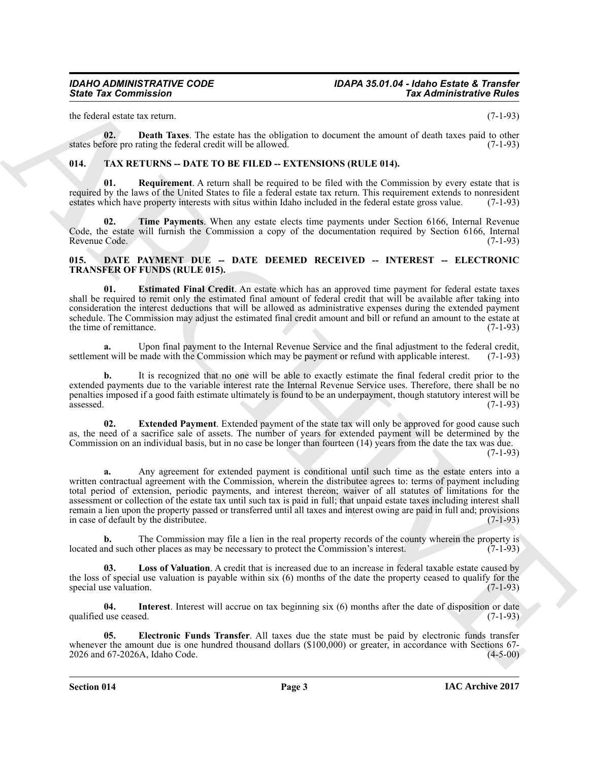the federal estate tax return. (7-1-93)

<span id="page-2-8"></span>**02. Death Taxes**. The estate has the obligation to document the amount of death taxes paid to other states before pro rating the federal credit will be allowed. (7-1-93)

### <span id="page-2-9"></span><span id="page-2-0"></span>**014. TAX RETURNS -- DATE TO BE FILED -- EXTENSIONS (RULE 014).**

<span id="page-2-10"></span>**Requirement**. A return shall be required to be filed with the Commission by every estate that is required by the laws of the United States to file a federal estate tax return. This requirement extends to nonresident estates which have property interests with situs within Idaho included in the federal estate gross value. (7-1-93)

<span id="page-2-11"></span>**02. Time Payments**. When any estate elects time payments under Section 6166, Internal Revenue Code, the estate will furnish the Commission a copy of the documentation required by Section 6166, Internal Revenue Code. (7-1-93) Revenue Code.

#### <span id="page-2-2"></span><span id="page-2-1"></span>**015. DATE PAYMENT DUE -- DATE DEEMED RECEIVED -- INTEREST -- ELECTRONIC TRANSFER OF FUNDS (RULE 015).**

<span id="page-2-4"></span>**01. Estimated Final Credit**. An estate which has an approved time payment for federal estate taxes shall be required to remit only the estimated final amount of federal credit that will be available after taking into consideration the interest deductions that will be allowed as administrative expenses during the extended payment schedule. The Commission may adjust the estimated final credit amount and bill or refund an amount to the estate at the time of remittance. (7-1-93) the time of remittance.

**a.** Upon final payment to the Internal Revenue Service and the final adjustment to the federal credit, the Upon is the Commission which may be payment or refund with applicable interest. (7-1-93) settlement will be made with the Commission which may be payment or refund with applicable interest.

**b.** It is recognized that no one will be able to exactly estimate the final federal credit prior to the extended payments due to the variable interest rate the Internal Revenue Service uses. Therefore, there shall be no penalties imposed if a good faith estimate ultimately is found to be an underpayment, though statutory interest will be assessed. (7-1-93)

<span id="page-2-5"></span>**Extended Payment**. Extended payment of the state tax will only be approved for good cause such as, the need of a sacrifice sale of assets. The number of years for extended payment will be determined by the Commission on an individual basis, but in no case be longer than fourteen (14) years from the date the tax was due.  $(7-1-93)$ 

Since Tax Commission<br>
In the state state of the state base of the state state of the state of the state of the state<br>
and the state of the state in the state of the state state of the state of the state of the state<br>
and **a.** Any agreement for extended payment is conditional until such time as the estate enters into a written contractual agreement with the Commission, wherein the distributee agrees to: terms of payment including total period of extension, periodic payments, and interest thereon; waiver of all statutes of limitations for the assessment or collection of the estate tax until such tax is paid in full; that unpaid estate taxes including interest shall remain a lien upon the property passed or transferred until all taxes and interest owing are paid in full and; provisions in case of default by the distributee. (7-1-93)

**b.** The Commission may file a lien in the real property records of the county wherein the property is nd such other places as may be necessary to protect the Commission's interest. (7-1-93) located and such other places as may be necessary to protect the Commission's interest.

<span id="page-2-7"></span>**Loss of Valuation**. A credit that is increased due to an increase in federal taxable estate caused by the loss of special use valuation is payable within six  $(6)$  months of the date the property ceased to qualify for the special use valuation.  $(7-1-93)$ special use valuation.

<span id="page-2-6"></span>**04.** Interest. Interest will accrue on tax beginning six (6) months after the date of disposition or date use ceased. (7-1-93) qualified use ceased.

<span id="page-2-3"></span>**05. Electronic Funds Transfer**. All taxes due the state must be paid by electronic funds transfer whenever the amount due is one hundred thousand dollars (\$100,000) or greater, in accordance with Sections 67-<br>2026 and 67-2026A, Idaho Code. (4-5-00) 2026 and 67-2026A, Idaho Code.

**Section 014 Page 3**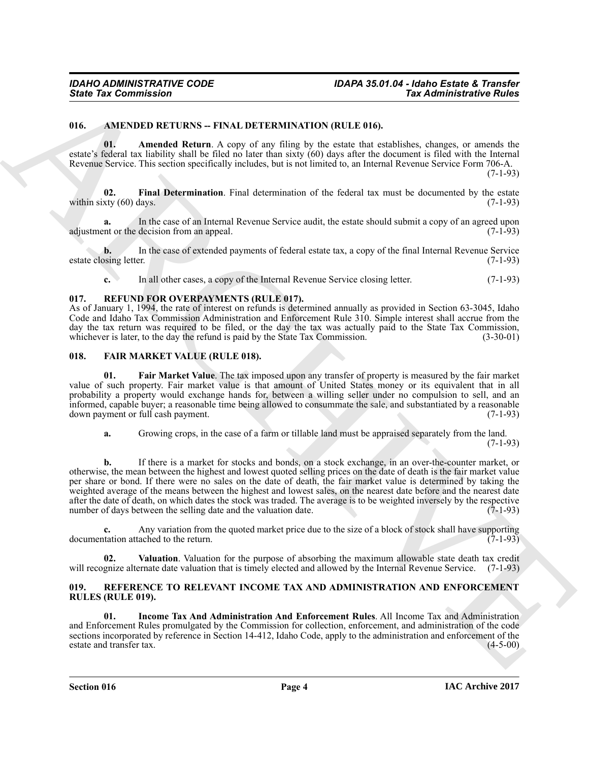#### <span id="page-3-4"></span><span id="page-3-0"></span>**016. AMENDED RETURNS -- FINAL DETERMINATION (RULE 016).**

<span id="page-3-5"></span>**01. Amended Return**. A copy of any filing by the estate that establishes, changes, or amends the estate's federal tax liability shall be filed no later than sixty (60) days after the document is filed with the Internal Revenue Service. This section specifically includes, but is not limited to, an Internal Revenue Service Form 706-A. (7-1-93)

<span id="page-3-6"></span>**02. Final Determination**. Final determination of the federal tax must be documented by the estate within sixty  $(60)$  days.  $(7-1-93)$ 

In the case of an Internal Revenue Service audit, the estate should submit a copy of an agreed upon decision from an appeal. (7-1-93) adjustment or the decision from an appeal.

**b.** In the case of extended payments of federal estate tax, a copy of the final Internal Revenue Service estate closing letter. (7-1-93)

<span id="page-3-12"></span>**c.** In all other cases, a copy of the Internal Revenue Service closing letter. (7-1-93)

#### <span id="page-3-1"></span>**017. REFUND FOR OVERPAYMENTS (RULE 017).**

As of January 1, 1994, the rate of interest on refunds is determined annually as provided in Section 63-3045, Idaho Code and Idaho Tax Commission Administration and Enforcement Rule 310. Simple interest shall accrue from the day the tax return was required to be filed, or the day the tax was actually paid to the State Tax Commission, whichever is later, to the day the refund is paid by the State Tax Commission. (3-30-01) whichever is later, to the day the refund is paid by the State Tax Commission.

#### <span id="page-3-7"></span><span id="page-3-2"></span>**018. FAIR MARKET VALUE (RULE 018).**

<span id="page-3-8"></span>**01. Fair Market Value**. The tax imposed upon any transfer of property is measured by the fair market value of such property. Fair market value is that amount of United States money or its equivalent that in all probability a property would exchange hands for, between a willing seller under no compulsion to sell, and an informed, capable buyer; a reasonable time being allowed to consummate the sale, and substantiated by a reasonable down payment or full cash payment.

**a.** Growing crops, in the case of a farm or tillable land must be appraised separately from the land.

 $(7-1-93)$ 

Sinte Tax Commission<br>
16. AMENDO INTERNATIONAL CONFIDENTIVATION (CONTINUES)<br>
16. AMENDO INTERNATIONAL CONFIDENTIVATION (CONTINUES)<br>
16. AMENDO INTERNATIONAL CONFIDENTIVATION (CONTINUES) IN CONTINUES IN A CONFIDENTIVATION **b.** If there is a market for stocks and bonds, on a stock exchange, in an over-the-counter market, or otherwise, the mean between the highest and lowest quoted selling prices on the date of death is the fair market value per share or bond. If there were no sales on the date of death, the fair market value is determined by taking the weighted average of the means between the highest and lowest sales, on the nearest date before and the nearest date after the date of death, on which dates the stock was traded. The average is to be weighted inversely by the respective number of days between the selling date and the valuation date. (7-1-93) number of days between the selling date and the valuation date.

**c.** Any variation from the quoted market price due to the size of a block of stock shall have supporting tation attached to the return. documentation attached to the return.

<span id="page-3-9"></span>**02. Valuation**. Valuation for the purpose of absorbing the maximum allowable state death tax credit will recognize alternate date valuation that is timely elected and allowed by the Internal Revenue Service. (7-1-93)

#### <span id="page-3-11"></span><span id="page-3-3"></span>**019. REFERENCE TO RELEVANT INCOME TAX AND ADMINISTRATION AND ENFORCEMENT RULES (RULE 019).**

<span id="page-3-10"></span>**01. Income Tax And Administration And Enforcement Rules**. All Income Tax and Administration and Enforcement Rules promulgated by the Commission for collection, enforcement, and administration of the code sections incorporated by reference in Section 14-412, Idaho Code, apply to the administration and enforcement of the estate and transfer tax. (4-5-00) estate and transfer tax.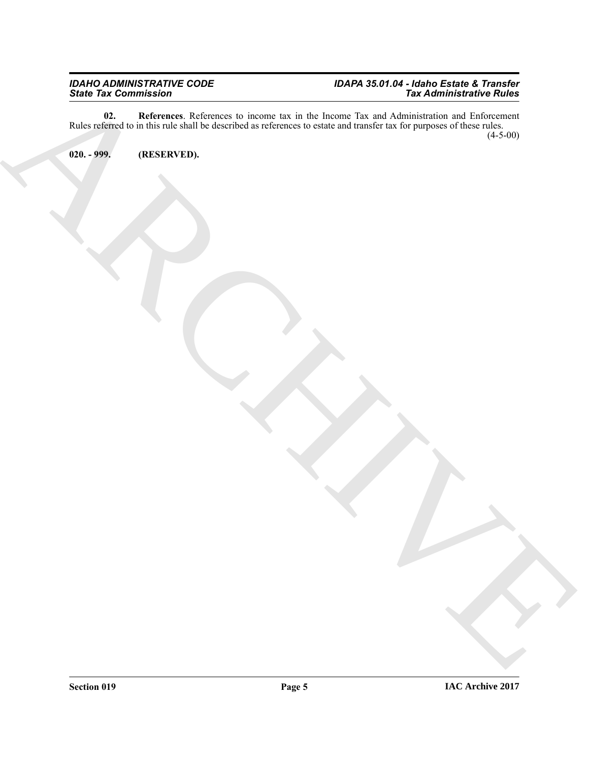#### <span id="page-4-1"></span>*IDAHO ADMINISTRATIVE CODE IDAPA 35.01.04 - Idaho Estate & Transfer State Tax Commission Tax Administrative Rules*

ARCHIVE **02. References**. References to income tax in the Income Tax and Administration and Enforcement Rules referred to in this rule shall be described as references to estate and transfer tax for purposes of these rules. (4-5-00)

<span id="page-4-0"></span>**020. - 999. (RESERVED).**